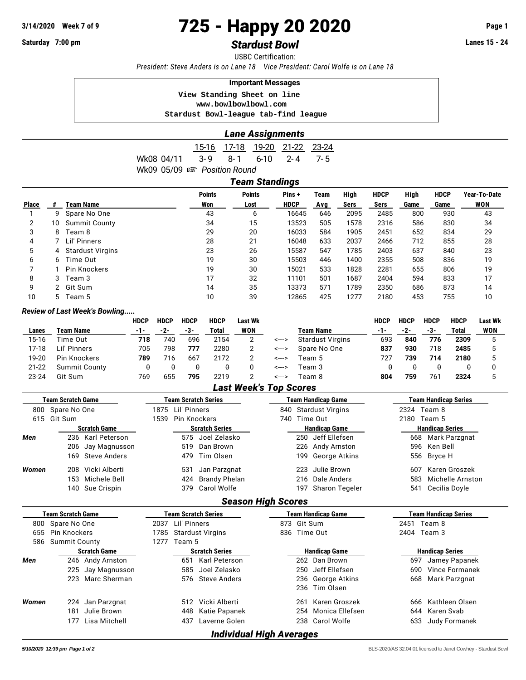# **3/14/2020 Week 7 of 9 725 - Happy 20 2020 Page 1**

# **Saturday 7:00 pm** *Stardust Bowl* **Lanes 15 - 24**

USBC Certification:

*President: Steve Anders is on Lane 18 Vice President: Carol Wolfe is on Lane 18*

### **Important Messages**

 **View Standing Sheet on line <www.bowlbowlbowl.com>**

 **Stardust Bowl-league tab-find league**

#### *Lane Assignments*

|                                 |  | 15-16 17-18 19-20 21-22 23-24 |  |
|---------------------------------|--|-------------------------------|--|
| Wk08 04/11 3-9 8-1 6-10 2-4 7-5 |  |                               |  |
| Wk09 05/09 ☞ Position Round     |  |                               |  |

| Team Standings |    |                         |                      |                       |                      |             |              |                     |              |                     |                     |
|----------------|----|-------------------------|----------------------|-----------------------|----------------------|-------------|--------------|---------------------|--------------|---------------------|---------------------|
| <b>Place</b>   |    | <b>Team Name</b>        | <b>Points</b><br>Won | <b>Points</b><br>Lost | Pins+<br><b>HDCP</b> | Team<br>Avg | High<br>Sers | <b>HDCP</b><br>Sers | High<br>Game | <b>HDCP</b><br>Game | Year-To-Date<br>WON |
|                | 9  | Spare No One            | 43                   | 6                     | 16645                | 646         | 2095         | 2485                | 800          | 930                 | 43                  |
| 2              | 10 | <b>Summit County</b>    | 34                   | 15                    | 13523                | 505         | 1578         | 2316                | 586          | 830                 | 34                  |
| 3              | 8  | Team 8                  | 29                   | 20                    | 16033                | 584         | 1905         | 2451                | 652          | 834                 | 29                  |
| 4              |    | Lil' Pinners            | 28                   | 21                    | 16048                | 633         | 2037         | 2466                | 712          | 855                 | 28                  |
| 5              | 4  | <b>Stardust Virgins</b> | 23                   | 26                    | 15587                | 547         | 1785         | 2403                | 637          | 840                 | 23                  |
| 6              | 6  | Time Out                | 19                   | 30                    | 15503                | 446         | 1400         | 2355                | 508          | 836                 | 19                  |
|                |    | <b>Pin Knockers</b>     | 19                   | 30                    | 15021                | 533         | 1828         | 2281                | 655          | 806                 | 19                  |
| 8              | 3. | Team 3                  | 17                   | 32                    | 11101                | 501         | 1687         | 2404                | 594          | 833                 | 17                  |
| 9              |    | 2 Git Sum               | 14                   | 35                    | 13373                | 571         | 1789         | 2350                | 686          | 873                 | 14                  |
| 10             | 5. | Team 5                  | 10                   | 39                    | 12865                | 425         | 1277         | 2180                | 453          | 755                 | 10                  |

#### *Review of Last Week's Bowling.....*

|           |                      | <b>HDCP</b> | <b>HDCP</b> | <b>HDCP</b> | <b>HDCP</b> | Last Wk |       |                         | HDCP  | <b>HDCP</b> | <b>HDCP</b> | <b>HDCP</b> | Last Wk |
|-----------|----------------------|-------------|-------------|-------------|-------------|---------|-------|-------------------------|-------|-------------|-------------|-------------|---------|
| Lanes     | Team Name            | -1-         | -2-         | -3-         | Total       | WON     |       | Team Name               | $-1-$ | $-2-$       | -3-         | Total       | WON     |
| 15-16     | Time Out             | 718         | 74C         | 696         | 2154        |         | <---> | <b>Stardust Virgins</b> | 693   | 840         | 776         | 2309        |         |
| $17-18$   | Lil' Pinners         | 705         | 798         | 777         | 2280        |         | <---> | Spare No One            | 837   | 930         | 718         | 2485        |         |
| 19-20     | Pin Knockers         | 789         | 716         | 667         | 2172        |         | <---> | Team 5                  | 727   | 739         | 714         | 2180        |         |
| $21 - 22$ | <b>Summit County</b> |             |             | 0           |             |         | <---> | Геаm З                  | 0     |             | 0           |             |         |
| 23-24     | Git Sum              | 769         | 655         | 795         | 2219        |         | <---> | Геат 8                  | 804   | 759         | 761         | 2324        |         |

# *Last Week's Top Scores*

| <b>Team Scratch Game</b> |                     |                   | <b>Team Scratch Series</b> |  |                       |  |  | Team Handicap Game   | <b>Team Handicap Series</b> |                        |  |  |  |
|--------------------------|---------------------|-------------------|----------------------------|--|-----------------------|--|--|----------------------|-----------------------------|------------------------|--|--|--|
|                          | 800 Spare No One    |                   | 1875 Lil' Pinners          |  | 840 Stardust Virgins  |  |  | 2324 Team 8          |                             |                        |  |  |  |
|                          | 615 Git Sum         |                   | Pin Knockers<br>1539       |  | 740 Time Out          |  |  | 2180 Team 5          |                             |                        |  |  |  |
|                          | <b>Scratch Game</b> |                   |                            |  | <b>Scratch Series</b> |  |  | <b>Handicap Game</b> |                             | <b>Handicap Series</b> |  |  |  |
| Men                      |                     | 236 Karl Peterson |                            |  | 575 Joel Zelasko      |  |  | 250 Jeff Ellefsen    |                             | 668 Mark Parzgnat      |  |  |  |
|                          |                     | 206 Jay Magnusson |                            |  | 519 Dan Brown         |  |  | 226 Andy Arnston     |                             | 596 Ken Bell           |  |  |  |
|                          |                     | 169 Steve Anders  |                            |  | 479 Tim Olsen         |  |  | 199 George Atkins    |                             | 556 Bryce H            |  |  |  |
| Women                    |                     | 208 Vicki Alberti |                            |  | 531 Jan Parzgnat      |  |  | 223 Julie Brown      | 607                         | Karen Groszek          |  |  |  |
|                          |                     | 153 Michele Bell  |                            |  | 424 Brandy Phelan     |  |  | 216 Dale Anders      | 583                         | Michelle Arnston       |  |  |  |
|                          |                     | 140 Sue Crispin   |                            |  | 379 Carol Wolfe       |  |  | 197 Sharon Tegeler   |                             | 541 Cecilia Dovle      |  |  |  |

## *Season High Scores*

|       | <b>Team Scratch Game</b> | <b>Team Scratch Series</b> |                         |             | Team Handicap Game   | <b>Team Handicap Series</b> |                |  |  |
|-------|--------------------------|----------------------------|-------------------------|-------------|----------------------|-----------------------------|----------------|--|--|
|       | 800 Spare No One         | Lil' Pinners<br>2037       |                         | 873 Git Sum |                      | 2451 Team 8                 |                |  |  |
| 655   | Pin Knockers             | 1785                       | <b>Stardust Virgins</b> |             | 836 Time Out         |                             | 2404 Team 3    |  |  |
| 586   | <b>Summit County</b>     | Team 5<br>1277             |                         |             |                      |                             |                |  |  |
|       | <b>Scratch Game</b>      |                            | <b>Scratch Series</b>   |             | <b>Handicap Game</b> | <b>Handicap Series</b>      |                |  |  |
| Men   | 246 Andy Arnston         | 651                        | Karl Peterson           |             | 262 Dan Brown        | 697                         | Jamey Papanek  |  |  |
|       | 225 Jay Magnusson        | 585                        | Joel Zelasko            |             | 250 Jeff Ellefsen    | 690                         | Vince Formanek |  |  |
|       | Marc Sherman<br>223      |                            | 576 Steve Anders        |             | 236 George Atkins    | 668                         | Mark Parzgnat  |  |  |
|       |                          |                            |                         |             | 236 Tim Olsen        |                             |                |  |  |
| Women | 224 Jan Parzgnat         | 512                        | Vicki Alberti           | 261         | Karen Groszek        | 666                         | Kathleen Olsen |  |  |
|       | Julie Brown<br>181       | 448                        | Katie Papanek           |             | 254 Monica Ellefsen  |                             | 644 Karen Svab |  |  |
|       | Lisa Mitchell<br>177     | 437                        | Laverne Golen           |             | 238 Carol Wolfe      | 633                         | Judy Formanek  |  |  |
|       |                          |                            |                         |             |                      |                             |                |  |  |

#### *Individual High Averages*